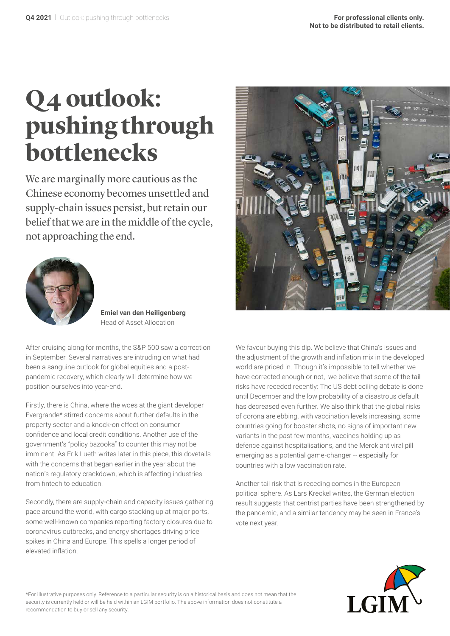# **Q4 outlook: pushing through bottlenecks**

We are marginally more cautious as the Chinese economy becomes unsettled and supply-chain issues persist, but retain our belief that we are in the middle of the cycle, not approaching the end.



**Emiel van den Heiligenberg** Head of Asset Allocation

After cruising along for months, the S&P 500 saw a correction in September. Several narratives are intruding on what had been a sanguine outlook for global equities and a postpandemic recovery, which clearly will determine how we position ourselves into year-end.

Firstly, there is China, where the woes at the giant developer Evergrande\* stirred concerns about further defaults in the property sector and a knock-on effect on consumer confidence and local credit conditions. Another use of the government's "policy bazooka" to counter this may not be imminent. As Erik Lueth writes later in this piece, this dovetails with the concerns that began earlier in the year about the nation's regulatory crackdown, which is affecting industries from fintech to education.

Secondly, there are supply-chain and capacity issues gathering pace around the world, with cargo stacking up at major ports, some well-known companies reporting factory closures due to coronavirus outbreaks, and energy shortages driving price spikes in China and Europe. This spells a longer period of elevated inflation.



We favour buying this dip. We believe that China's issues and the adjustment of the growth and inflation mix in the developed world are priced in. Though it's impossible to tell whether we have corrected enough or not, we believe that some of the tail risks have receded recently: The US debt ceiling debate is done until December and the low probability of a disastrous default has decreased even further. We also think that the global risks of corona are ebbing, with vaccination levels increasing, some countries going for booster shots, no signs of important new variants in the past few months, vaccines holding up as defence against hospitalisations, and the Merck antiviral pill emerging as a potential game-changer -- especially for countries with a low vaccination rate.

Another tail risk that is receding comes in the European political sphere. As Lars Kreckel writes, the German election result suggests that centrist parties have been strengthened by the pandemic, and a similar tendency may be seen in France's vote next year.



\*For illustrative purposes only. Reference to a particular security is on a historical basis and does not mean that the security is currently held or will be held within an LGIM portfolio. The above information does not constitute a recommendation to buy or sell any security.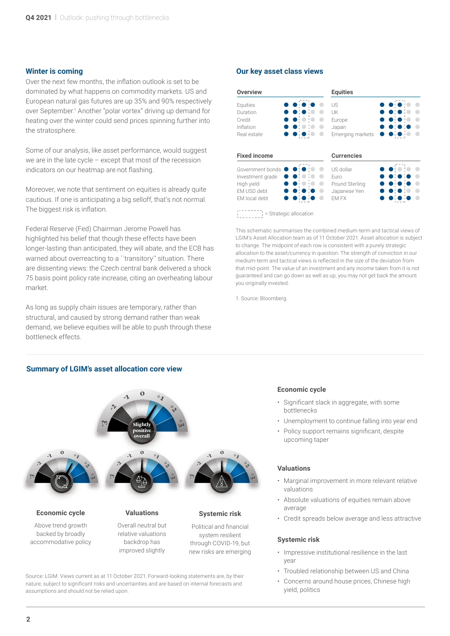#### **Winter is coming**

Over the next few months, the inflation outlook is set to be dominated by what happens on commodity markets. US and European natural gas futures are up 35% and 90% respectively over September.<sup>1</sup> Another "polar vortex" driving up demand for heating over the winter could send prices spinning further into the stratosphere.

Some of our analysis, like asset performance, would suggest we are in the late cycle – except that most of the recession indicators on our heatmap are not flashing.

Moreover, we note that sentiment on equities is already quite cautious. If one is anticipating a big selloff, that's not normal. The biggest risk is inflation.

Federal Reserve (Fed) Chairman Jerome Powell has highlighted his belief that though these effects have been longer-lasting than anticipated, they will abate, and the ECB has warned about overreacting to a "transitory" situation. There are dissenting views: the Czech central bank delivered a shock 75 basis point policy rate increase, citing an overheating labour market.

As long as supply chain issues are temporary, rather than structural, and caused by strong demand rather than weak demand, we believe equities will be able to push through these bottleneck effects.

#### **Summary of LGIM's asset allocation core view**



Source: LGIM. Views current as at 11 October 2021. Forward-looking statements are, by their nature, subject to significant risks and uncertainties and are based on internal forecasts and assumptions and should not be relied upon.

#### **Our key asset class views**

| <b>Overview</b>     | <b>Equities</b>   |
|---------------------|-------------------|
| Equities            | US                |
| Duration            | UK                |
| Credit              | Europe            |
| Inflation           | Japan             |
| Real estate         | Emerging markets  |
| <b>Fixed income</b> | <b>Currencies</b> |
| Government bonds    | US dollar         |
| Investment grade    | Furo              |
| High yield          | Pound Sterling    |
| EM USD debt         | Japanese Yen      |
| EM local debt       | EM FX             |

= Strategic allocation

This schematic summarises the combined medium-term and tactical views of LGIM's Asset Allocation team as of 11 October 2021. Asset allocation is subject to change. The midpoint of each row is consistent with a purely strategic allocation to the asset/currency in question. The strength of conviction in our medium-term and tactical views is reflected in the size of the deviation from that mid-point. The value of an investment and any income taken from it is not guaranteed and can go down as well as up, you may not get back the amount you originally invested.

1. Source: Bloomberg.

#### **Economic cycle**

- Significant slack in aggregate, with some bottlenecks
- Unemployment to continue falling into year end
- Policy support remains significant, despite upcoming taper

#### **Valuations**

- Marginal improvement in more relevant relative valuations
- Absolute valuations of equities remain above average
- Credit spreads below average and less attractive

#### **Systemic risk**

- Impressive institutional resilience in the last year
- Troubled relationship between US and China
- Concerns around house prices, Chinese high yield, politics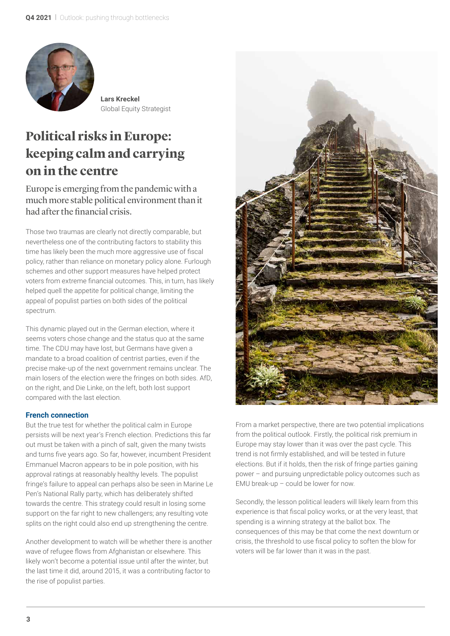

**Lars Kreckel** Global Equity Strategist

### **Political risks in Europe: keeping calm and carrying on in the centre**

Europe is emerging from the pandemic with a much more stable political environment than it had after the financial crisis.

Those two traumas are clearly not directly comparable, but nevertheless one of the contributing factors to stability this time has likely been the much more aggressive use of fiscal policy, rather than reliance on monetary policy alone. Furlough schemes and other support measures have helped protect voters from extreme financial outcomes. This, in turn, has likely helped quell the appetite for political change, limiting the appeal of populist parties on both sides of the political spectrum.

This dynamic played out in the German election, where it seems voters chose change and the status quo at the same time. The CDU may have lost, but Germans have given a mandate to a broad coalition of centrist parties, even if the precise make-up of the next government remains unclear. The main losers of the election were the fringes on both sides. AfD, on the right, and Die Linke, on the left, both lost support compared with the last election.

#### **French connection**

But the true test for whether the political calm in Europe persists will be next year's French election. Predictions this far out must be taken with a pinch of salt, given the many twists and turns five years ago. So far, however, incumbent President Emmanuel Macron appears to be in pole position, with his approval ratings at reasonably healthy levels. The populist fringe's failure to appeal can perhaps also be seen in Marine Le Pen's National Rally party, which has deliberately shifted towards the centre. This strategy could result in losing some support on the far right to new challengers; any resulting vote splits on the right could also end up strengthening the centre.

Another development to watch will be whether there is another wave of refugee flows from Afghanistan or elsewhere. This likely won't become a potential issue until after the winter, but the last time it did, around 2015, it was a contributing factor to the rise of populist parties.



From a market perspective, there are two potential implications from the political outlook. Firstly, the political risk premium in Europe may stay lower than it was over the past cycle. This trend is not firmly established, and will be tested in future elections. But if it holds, then the risk of fringe parties gaining power – and pursuing unpredictable policy outcomes such as EMU break-up – could be lower for now.

Secondly, the lesson political leaders will likely learn from this experience is that fiscal policy works, or at the very least, that spending is a winning strategy at the ballot box. The consequences of this may be that come the next downturn or crisis, the threshold to use fiscal policy to soften the blow for voters will be far lower than it was in the past.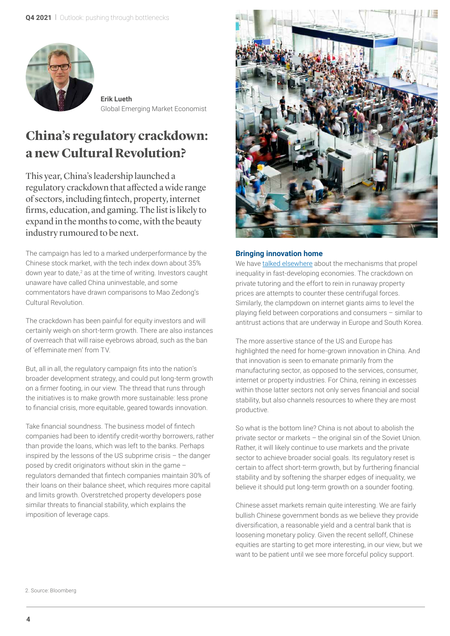

**Erik Lueth** Global Emerging Market Economist

## **China's regulatory crackdown: a new Cultural Revolution?**

This year, China's leadership launched a regulatory crackdown that affected a wide range of sectors, including fintech, property, internet firms, education, and gaming. The list is likely to expand in the months to come, with the beauty industry rumoured to be next.

The campaign has led to a marked underperformance by the Chinese stock market, with the tech index down about 35% down year to date,<sup>2</sup> as at the time of writing. Investors caught unaware have called China uninvestable, and some commentators have drawn comparisons to Mao Zedong's Cultural Revolution.

The crackdown has been painful for equity investors and will certainly weigh on short-term growth. There are also instances of overreach that will raise eyebrows abroad, such as the ban of 'effeminate men' from TV.

But, all in all, the regulatory campaign fits into the nation's broader development strategy, and could put long-term growth on a firmer footing, in our view. The thread that runs through the initiatives is to make growth more sustainable: less prone to financial crisis, more equitable, geared towards innovation.

Take financial soundness. The business model of fintech companies had been to identify credit-worthy borrowers, rather than provide the loans, which was left to the banks. Perhaps inspired by the lessons of the US subprime crisis – the danger posed by credit originators without skin in the game – regulators demanded that fintech companies maintain 30% of their loans on their balance sheet, which requires more capital and limits growth. Overstretched property developers pose similar threats to financial stability, which explains the imposition of leverage caps.



#### **Bringing innovation home**

We have [talked elsewhere](https://www.lgimblog.com/categories/markets-and-economics/economics/the-difference-between-xi-s-china-and-tsarist-russia/) about the mechanisms that propel inequality in fast-developing economies. The crackdown on private tutoring and the effort to rein in runaway property prices are attempts to counter these centrifugal forces. Similarly, the clampdown on internet giants aims to level the playing field between corporations and consumers – similar to antitrust actions that are underway in Europe and South Korea.

The more assertive stance of the US and Europe has highlighted the need for home-grown innovation in China. And that innovation is seen to emanate primarily from the manufacturing sector, as opposed to the services, consumer, internet or property industries. For China, reining in excesses within those latter sectors not only serves financial and social stability, but also channels resources to where they are most productive.

So what is the bottom line? China is not about to abolish the private sector or markets – the original sin of the Soviet Union. Rather, it will likely continue to use markets and the private sector to achieve broader social goals. Its regulatory reset is certain to affect short-term growth, but by furthering financial stability and by softening the sharper edges of inequality, we believe it should put long-term growth on a sounder footing.

Chinese asset markets remain quite interesting. We are fairly bullish Chinese government bonds as we believe they provide diversification, a reasonable yield and a central bank that is loosening monetary policy. Given the recent selloff, Chinese equities are starting to get more interesting, in our view, but we want to be patient until we see more forceful policy support.

2. Source: Bloomberg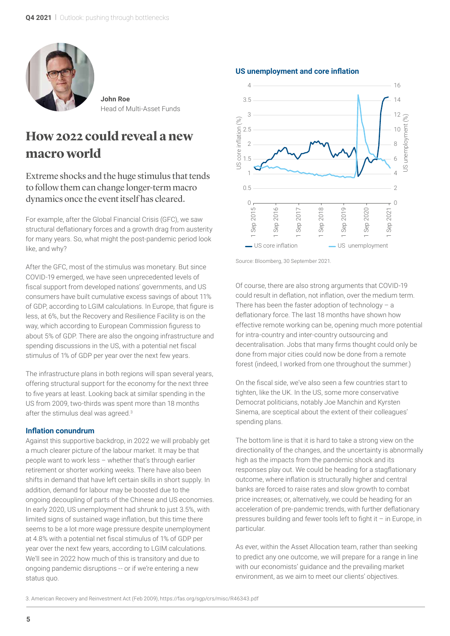

**John Roe** Head of Multi-Asset Funds

### **How 2022 could reveal a new macro world**

Extreme shocks and the huge stimulus that tends to follow them can change longer-term macro dynamics once the event itself has cleared.

For example, after the Global Financial Crisis (GFC), we saw structural deflationary forces and a growth drag from austerity for many years. So, what might the post-pandemic period look like, and why?

After the GFC, most of the stimulus was monetary. But since COVID-19 emerged, we have seen unprecedented levels of fiscal support from developed nations' governments, and US consumers have built cumulative excess savings of about 11% of GDP, according to LGIM calculations. In Europe, that figure is less, at 6%, but the Recovery and Resilience Facility is on the way, which according to European Commission figuress to about 5% of GDP. There are also the ongoing infrastructure and spending discussions in the US, with a potential net fiscal stimulus of 1% of GDP per year over the next few years.

The infrastructure plans in both regions will span several years, offering structural support for the economy for the next three to five years at least. Looking back at similar spending in the US from 2009, two-thirds was spent more than 18 months after the stimulus deal was agreed.<sup>3</sup>

#### **Inflation conundrum**

Against this supportive backdrop, in 2022 we will probably get a much clearer picture of the labour market. It may be that people want to work less – whether that's through earlier retirement or shorter working weeks. There have also been shifts in demand that have left certain skills in short supply. In addition, demand for labour may be boosted due to the ongoing decoupling of parts of the Chinese and US economies. In early 2020, US unemployment had shrunk to just 3.5%, with limited signs of sustained wage inflation, but this time there seems to be a lot more wage pressure despite unemployment at 4.8% with a potential net fiscal stimulus of 1% of GDP per year over the next few years, according to LGIM calculations. We'll see in 2022 how much of this is transitory and due to ongoing pandemic disruptions -- or if we're entering a new status quo.



**US unemployment and core inflation**

Source: Bloomberg, 30 September 2021.

Of course, there are also strong arguments that COVID-19 could result in deflation, not inflation, over the medium term. There has been the faster adoption of technology – a deflationary force. The last 18 months have shown how effective remote working can be, opening much more potential for intra-country and inter-country outsourcing and decentralisation. Jobs that many firms thought could only be done from major cities could now be done from a remote forest (indeed, I worked from one throughout the summer.)

On the fiscal side, we've also seen a few countries start to tighten, like the UK. In the US, some more conservative Democrat politicians, notably Joe Manchin and Kyrsten Sinema, are sceptical about the extent of their colleagues' spending plans.

The bottom line is that it is hard to take a strong view on the directionality of the changes, and the uncertainty is abnormally high as the impacts from the pandemic shock and its responses play out. We could be heading for a stagflationary outcome, where inflation is structurally higher and central banks are forced to raise rates and slow growth to combat price increases; or, alternatively, we could be heading for an acceleration of pre-pandemic trends, with further deflationary pressures building and fewer tools left to fight it – in Europe, in particular.

As ever, within the Asset Allocation team, rather than seeking to predict any one outcome, we will prepare for a range in line with our economists' guidance and the prevailing market environment, as we aim to meet our clients' objectives.

3. American Recovery and Reinvestment Act (Feb 2009), https://fas.org/sgp/crs/misc/R46343.pdf